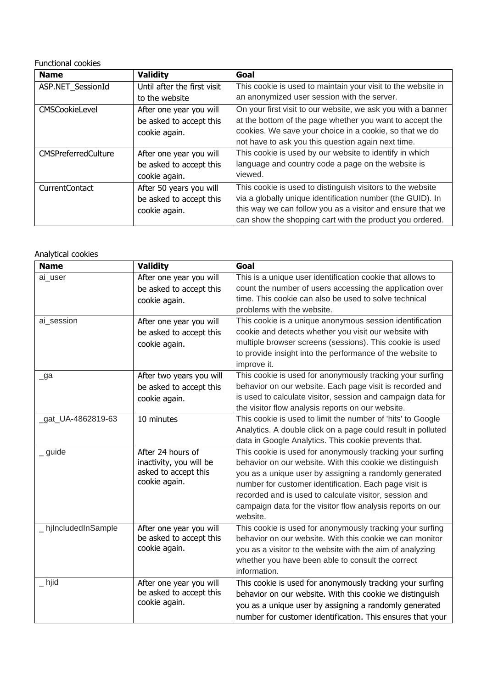## Functional cookies

| <b>Name</b>                | <b>Validity</b>             | Goal                                                         |
|----------------------------|-----------------------------|--------------------------------------------------------------|
| ASP.NET_SessionId          | Until after the first visit | This cookie is used to maintain your visit to the website in |
|                            | to the website              | an anonymized user session with the server.                  |
| CMSCookieLevel             | After one year you will     | On your first visit to our website, we ask you with a banner |
|                            | be asked to accept this     | at the bottom of the page whether you want to accept the     |
|                            | cookie again.               | cookies. We save your choice in a cookie, so that we do      |
|                            |                             | not have to ask you this question again next time.           |
| <b>CMSPreferredCulture</b> | After one year you will     | This cookie is used by our website to identify in which      |
|                            | be asked to accept this     | language and country code a page on the website is           |
|                            | cookie again.               | viewed.                                                      |
| CurrentContact             | After 50 years you will     | This cookie is used to distinguish visitors to the website   |
|                            | be asked to accept this     | via a globally unique identification number (the GUID). In   |
|                            | cookie again.               | this way we can follow you as a visitor and ensure that we   |
|                            |                             | can show the shopping cart with the product you ordered.     |

## Analytical cookies

| <b>Name</b>          | <b>Validity</b>                                                                       | Goal                                                                                                                                                                                                                                                                                                                                                                          |
|----------------------|---------------------------------------------------------------------------------------|-------------------------------------------------------------------------------------------------------------------------------------------------------------------------------------------------------------------------------------------------------------------------------------------------------------------------------------------------------------------------------|
| ai_user              | After one year you will<br>be asked to accept this<br>cookie again.                   | This is a unique user identification cookie that allows to<br>count the number of users accessing the application over<br>time. This cookie can also be used to solve technical<br>problems with the website.                                                                                                                                                                 |
| ai session           | After one year you will<br>be asked to accept this<br>cookie again.                   | This cookie is a unique anonymous session identification<br>cookie and detects whether you visit our website with<br>multiple browser screens (sessions). This cookie is used<br>to provide insight into the performance of the website to<br>improve it.                                                                                                                     |
| $\lrcorner$ ga       | After two years you will<br>be asked to accept this<br>cookie again.                  | This cookie is used for anonymously tracking your surfing<br>behavior on our website. Each page visit is recorded and<br>is used to calculate visitor, session and campaign data for<br>the visitor flow analysis reports on our website.                                                                                                                                     |
| gat_UA-4862819-63    | 10 minutes                                                                            | This cookie is used to limit the number of 'hits' to Google<br>Analytics. A double click on a page could result in polluted<br>data in Google Analytics. This cookie prevents that.                                                                                                                                                                                           |
| guide                | After 24 hours of<br>inactivity, you will be<br>asked to accept this<br>cookie again. | This cookie is used for anonymously tracking your surfing<br>behavior on our website. With this cookie we distinguish<br>you as a unique user by assigning a randomly generated<br>number for customer identification. Each page visit is<br>recorded and is used to calculate visitor, session and<br>campaign data for the visitor flow analysis reports on our<br>website. |
| _ hjIncludedInSample | After one year you will<br>be asked to accept this<br>cookie again.                   | This cookie is used for anonymously tracking your surfing<br>behavior on our website. With this cookie we can monitor<br>you as a visitor to the website with the aim of analyzing<br>whether you have been able to consult the correct<br>information.                                                                                                                       |
| $\_$ hjid            | After one year you will<br>be asked to accept this<br>cookie again.                   | This cookie is used for anonymously tracking your surfing<br>behavior on our website. With this cookie we distinguish<br>you as a unique user by assigning a randomly generated<br>number for customer identification. This ensures that your                                                                                                                                 |